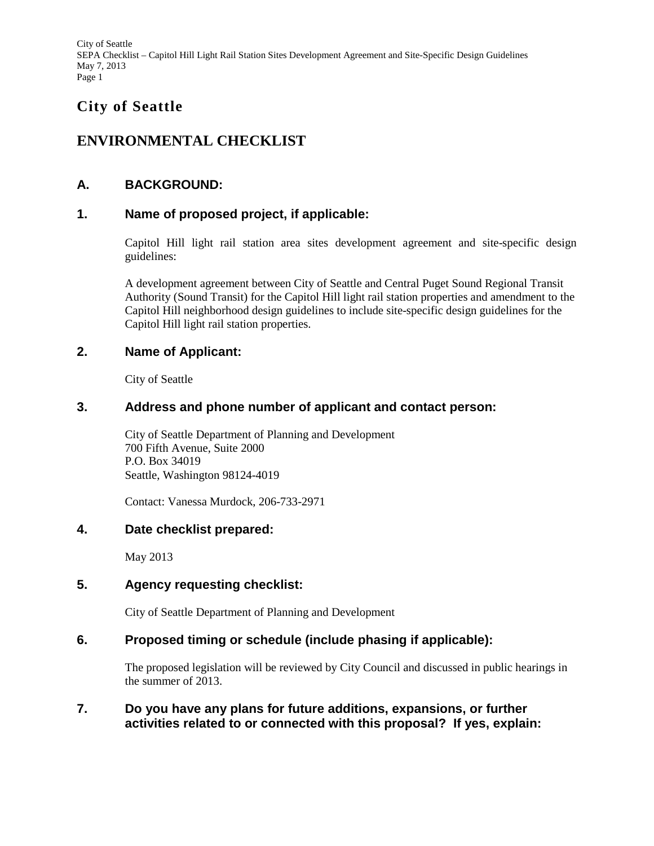# **City of Seattle**

# **ENVIRONMENTAL CHECKLIST**

# **A. BACKGROUND:**

# **1. Name of proposed project, if applicable:**

Capitol Hill light rail station area sites development agreement and site-specific design guidelines:

A development agreement between City of Seattle and Central Puget Sound Regional Transit Authority (Sound Transit) for the Capitol Hill light rail station properties and amendment to the Capitol Hill neighborhood design guidelines to include site-specific design guidelines for the Capitol Hill light rail station properties.

### **2. Name of Applicant:**

City of Seattle

### **3. Address and phone number of applicant and contact person:**

City of Seattle Department of Planning and Development 700 Fifth Avenue, Suite 2000 P.O. Box 34019 Seattle, Washington 98124-4019

Contact: Vanessa Murdock, 206-733-2971

### **4. Date checklist prepared:**

May 2013

# **5. Agency requesting checklist:**

City of Seattle Department of Planning and Development

# **6. Proposed timing or schedule (include phasing if applicable):**

The proposed legislation will be reviewed by City Council and discussed in public hearings in the summer of 2013.

### **7. Do you have any plans for future additions, expansions, or further activities related to or connected with this proposal? If yes, explain:**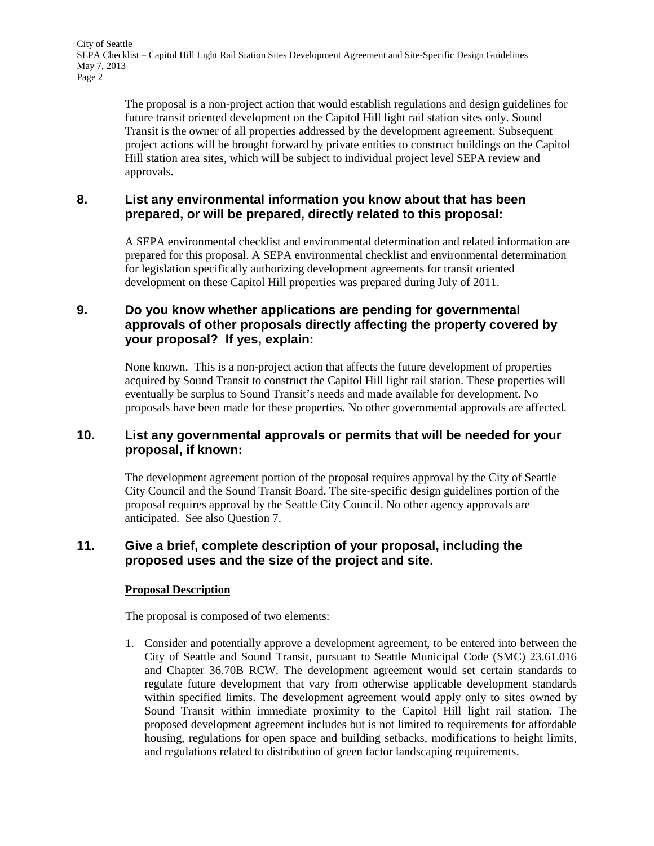> The proposal is a non-project action that would establish regulations and design guidelines for future transit oriented development on the Capitol Hill light rail station sites only. Sound Transit is the owner of all properties addressed by the development agreement. Subsequent project actions will be brought forward by private entities to construct buildings on the Capitol Hill station area sites, which will be subject to individual project level SEPA review and approvals.

# **8. List any environmental information you know about that has been prepared, or will be prepared, directly related to this proposal:**

A SEPA environmental checklist and environmental determination and related information are prepared for this proposal. A SEPA environmental checklist and environmental determination for legislation specifically authorizing development agreements for transit oriented development on these Capitol Hill properties was prepared during July of 2011.

# **9. Do you know whether applications are pending for governmental approvals of other proposals directly affecting the property covered by your proposal? If yes, explain:**

None known. This is a non-project action that affects the future development of properties acquired by Sound Transit to construct the Capitol Hill light rail station. These properties will eventually be surplus to Sound Transit's needs and made available for development. No proposals have been made for these properties. No other governmental approvals are affected.

### **10. List any governmental approvals or permits that will be needed for your proposal, if known:**

The development agreement portion of the proposal requires approval by the City of Seattle City Council and the Sound Transit Board. The site-specific design guidelines portion of the proposal requires approval by the Seattle City Council. No other agency approvals are anticipated. See also Question 7.

#### **11. Give a brief, complete description of your proposal, including the proposed uses and the size of the project and site.**

#### **Proposal Description**

The proposal is composed of two elements:

1. Consider and potentially approve a development agreement, to be entered into between the City of Seattle and Sound Transit, pursuant to Seattle Municipal Code (SMC) 23.61.016 and Chapter 36.70B RCW. The development agreement would set certain standards to regulate future development that vary from otherwise applicable development standards within specified limits. The development agreement would apply only to sites owned by Sound Transit within immediate proximity to the Capitol Hill light rail station. The proposed development agreement includes but is not limited to requirements for affordable housing, regulations for open space and building setbacks, modifications to height limits, and regulations related to distribution of green factor landscaping requirements.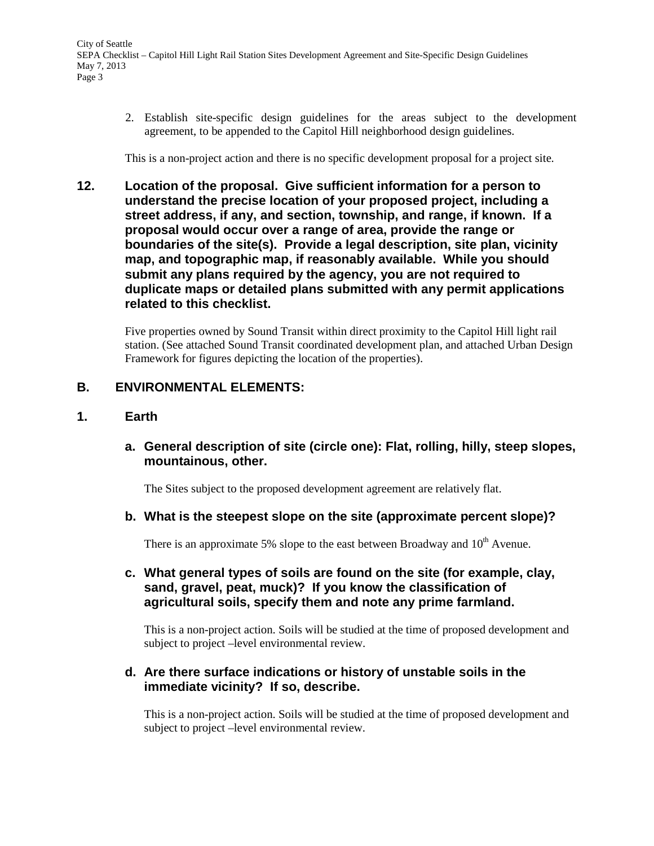2. Establish site-specific design guidelines for the areas subject to the development agreement, to be appended to the Capitol Hill neighborhood design guidelines.

This is a non-project action and there is no specific development proposal for a project site.

**12. Location of the proposal. Give sufficient information for a person to understand the precise location of your proposed project, including a street address, if any, and section, township, and range, if known. If a proposal would occur over a range of area, provide the range or boundaries of the site(s). Provide a legal description, site plan, vicinity map, and topographic map, if reasonably available. While you should submit any plans required by the agency, you are not required to duplicate maps or detailed plans submitted with any permit applications related to this checklist.**

Five properties owned by Sound Transit within direct proximity to the Capitol Hill light rail station. (See attached Sound Transit coordinated development plan, and attached Urban Design Framework for figures depicting the location of the properties).

# **B. ENVIRONMENTAL ELEMENTS:**

### **1. Earth**

**a. General description of site (circle one): Flat, rolling, hilly, steep slopes, mountainous, other.**

The Sites subject to the proposed development agreement are relatively flat.

**b. What is the steepest slope on the site (approximate percent slope)?**

There is an approximate 5% slope to the east between Broadway and  $10<sup>th</sup>$  Avenue.

**c. What general types of soils are found on the site (for example, clay, sand, gravel, peat, muck)? If you know the classification of agricultural soils, specify them and note any prime farmland.**

This is a non-project action. Soils will be studied at the time of proposed development and subject to project –level environmental review.

### **d. Are there surface indications or history of unstable soils in the immediate vicinity? If so, describe.**

This is a non-project action. Soils will be studied at the time of proposed development and subject to project –level environmental review.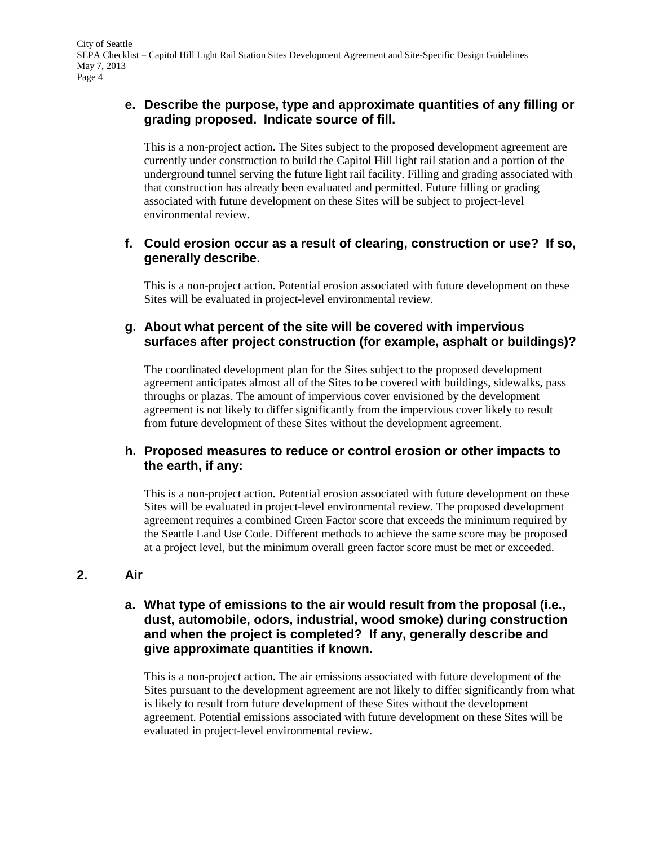# **e. Describe the purpose, type and approximate quantities of any filling or grading proposed. Indicate source of fill.**

This is a non-project action. The Sites subject to the proposed development agreement are currently under construction to build the Capitol Hill light rail station and a portion of the underground tunnel serving the future light rail facility. Filling and grading associated with that construction has already been evaluated and permitted. Future filling or grading associated with future development on these Sites will be subject to project-level environmental review.

# **f. Could erosion occur as a result of clearing, construction or use? If so, generally describe.**

This is a non-project action. Potential erosion associated with future development on these Sites will be evaluated in project-level environmental review.

# **g. About what percent of the site will be covered with impervious surfaces after project construction (for example, asphalt or buildings)?**

The coordinated development plan for the Sites subject to the proposed development agreement anticipates almost all of the Sites to be covered with buildings, sidewalks, pass throughs or plazas. The amount of impervious cover envisioned by the development agreement is not likely to differ significantly from the impervious cover likely to result from future development of these Sites without the development agreement.

# **h. Proposed measures to reduce or control erosion or other impacts to the earth, if any:**

This is a non-project action. Potential erosion associated with future development on these Sites will be evaluated in project-level environmental review. The proposed development agreement requires a combined Green Factor score that exceeds the minimum required by the Seattle Land Use Code. Different methods to achieve the same score may be proposed at a project level, but the minimum overall green factor score must be met or exceeded.

# **2. Air**

### **a. What type of emissions to the air would result from the proposal (i.e., dust, automobile, odors, industrial, wood smoke) during construction and when the project is completed? If any, generally describe and give approximate quantities if known.**

This is a non-project action. The air emissions associated with future development of the Sites pursuant to the development agreement are not likely to differ significantly from what is likely to result from future development of these Sites without the development agreement. Potential emissions associated with future development on these Sites will be evaluated in project-level environmental review.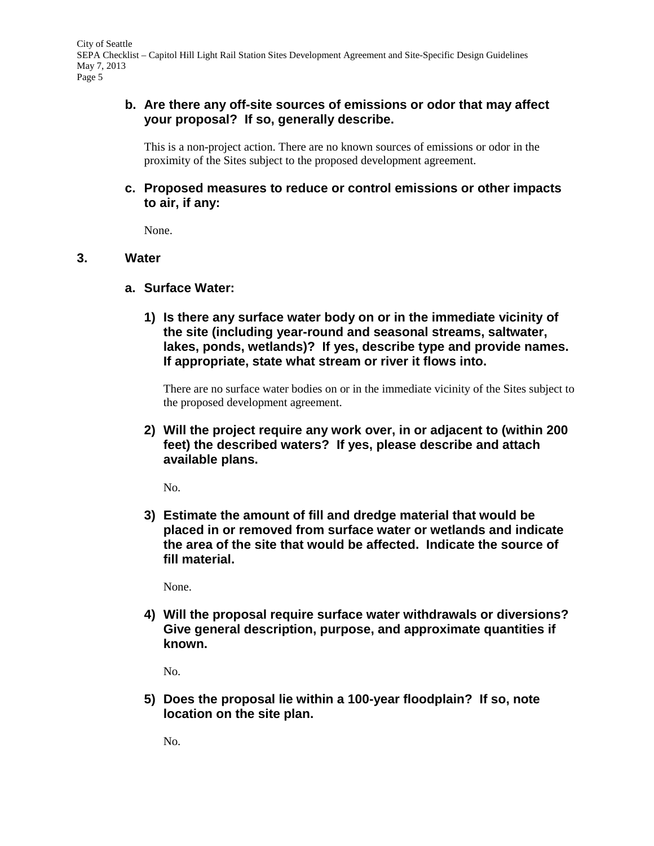# **b. Are there any off-site sources of emissions or odor that may affect your proposal? If so, generally describe.**

This is a non-project action. There are no known sources of emissions or odor in the proximity of the Sites subject to the proposed development agreement.

# **c. Proposed measures to reduce or control emissions or other impacts to air, if any:**

None.

### **3. Water**

- **a. Surface Water:**
	- **1) Is there any surface water body on or in the immediate vicinity of the site (including year-round and seasonal streams, saltwater, lakes, ponds, wetlands)? If yes, describe type and provide names. If appropriate, state what stream or river it flows into.**

There are no surface water bodies on or in the immediate vicinity of the Sites subject to the proposed development agreement.

**2) Will the project require any work over, in or adjacent to (within 200 feet) the described waters? If yes, please describe and attach available plans.**

No.

**3) Estimate the amount of fill and dredge material that would be placed in or removed from surface water or wetlands and indicate the area of the site that would be affected. Indicate the source of fill material.**

None.

**4) Will the proposal require surface water withdrawals or diversions? Give general description, purpose, and approximate quantities if known.**

No.

**5) Does the proposal lie within a 100-year floodplain? If so, note location on the site plan.**

No.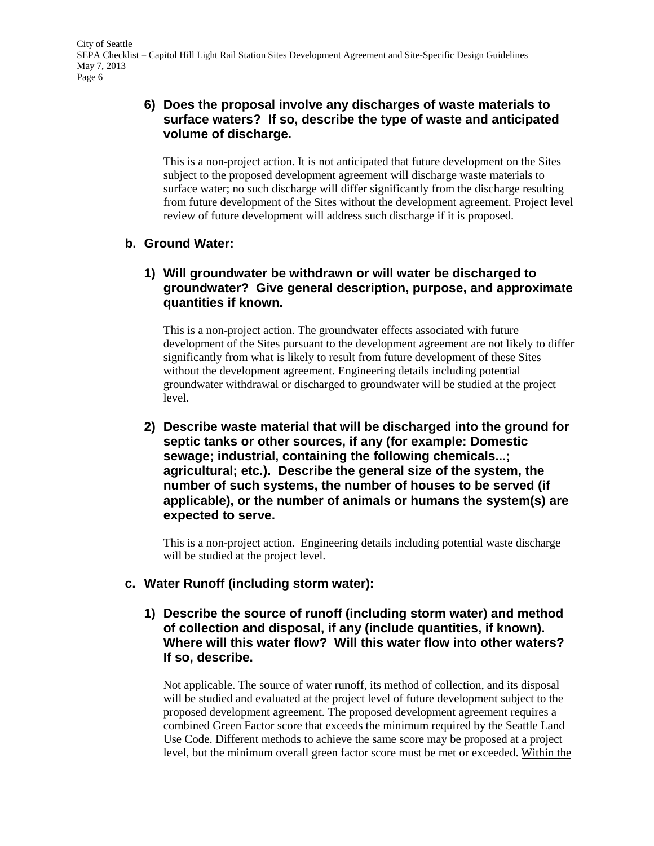# **6) Does the proposal involve any discharges of waste materials to surface waters? If so, describe the type of waste and anticipated volume of discharge.**

This is a non-project action. It is not anticipated that future development on the Sites subject to the proposed development agreement will discharge waste materials to surface water; no such discharge will differ significantly from the discharge resulting from future development of the Sites without the development agreement. Project level review of future development will address such discharge if it is proposed.

# **b. Ground Water:**

# **1) Will groundwater be withdrawn or will water be discharged to groundwater? Give general description, purpose, and approximate quantities if known.**

This is a non-project action. The groundwater effects associated with future development of the Sites pursuant to the development agreement are not likely to differ significantly from what is likely to result from future development of these Sites without the development agreement. Engineering details including potential groundwater withdrawal or discharged to groundwater will be studied at the project level.

**2) Describe waste material that will be discharged into the ground for septic tanks or other sources, if any (for example: Domestic sewage; industrial, containing the following chemicals...; agricultural; etc.). Describe the general size of the system, the number of such systems, the number of houses to be served (if applicable), or the number of animals or humans the system(s) are expected to serve.**

This is a non-project action. Engineering details including potential waste discharge will be studied at the project level.

# **c. Water Runoff (including storm water):**

**1) Describe the source of runoff (including storm water) and method of collection and disposal, if any (include quantities, if known). Where will this water flow? Will this water flow into other waters? If so, describe.**

Not applicable. The source of water runoff, its method of collection, and its disposal will be studied and evaluated at the project level of future development subject to the proposed development agreement. The proposed development agreement requires a combined Green Factor score that exceeds the minimum required by the Seattle Land Use Code. Different methods to achieve the same score may be proposed at a project level, but the minimum overall green factor score must be met or exceeded. Within the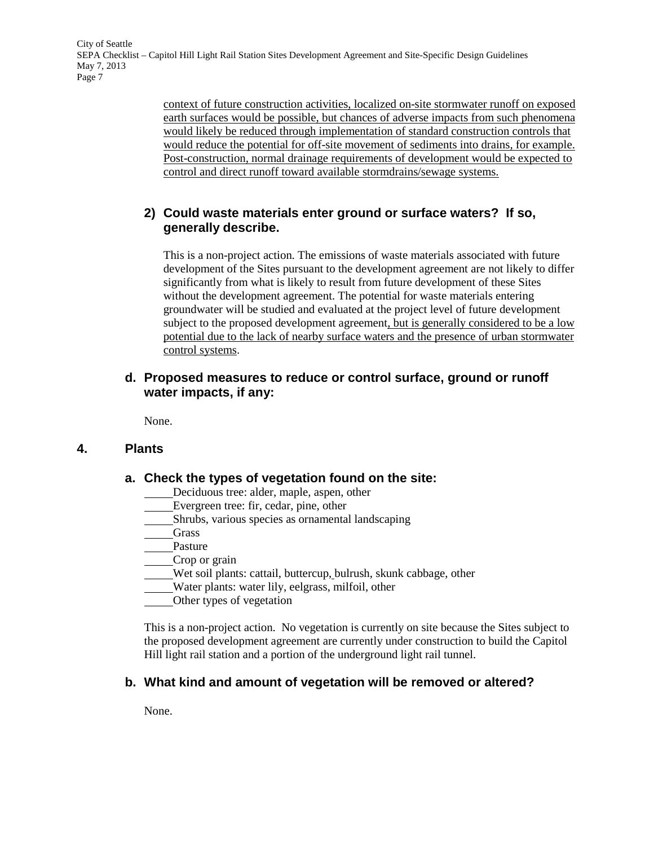> context of future construction activities, localized on-site stormwater runoff on exposed earth surfaces would be possible, but chances of adverse impacts from such phenomena would likely be reduced through implementation of standard construction controls that would reduce the potential for off-site movement of sediments into drains, for example. Post-construction, normal drainage requirements of development would be expected to control and direct runoff toward available stormdrains/sewage systems.

# **2) Could waste materials enter ground or surface waters? If so, generally describe.**

This is a non-project action. The emissions of waste materials associated with future development of the Sites pursuant to the development agreement are not likely to differ significantly from what is likely to result from future development of these Sites without the development agreement. The potential for waste materials entering groundwater will be studied and evaluated at the project level of future development subject to the proposed development agreement, but is generally considered to be a low potential due to the lack of nearby surface waters and the presence of urban stormwater control systems.

### **d. Proposed measures to reduce or control surface, ground or runoff water impacts, if any:**

None.

# **4. Plants**

#### **a. Check the types of vegetation found on the site:**

- Deciduous tree: alder, maple, aspen, other
- Evergreen tree: fir, cedar, pine, other
- Shrubs, various species as ornamental landscaping
- Grass
- Pasture

Crop or grain

Wet soil plants: cattail, buttercup, bulrush, skunk cabbage, other

Water plants: water lily, eelgrass, milfoil, other

Other types of vegetation

This is a non-project action. No vegetation is currently on site because the Sites subject to the proposed development agreement are currently under construction to build the Capitol Hill light rail station and a portion of the underground light rail tunnel.

# **b. What kind and amount of vegetation will be removed or altered?**

None.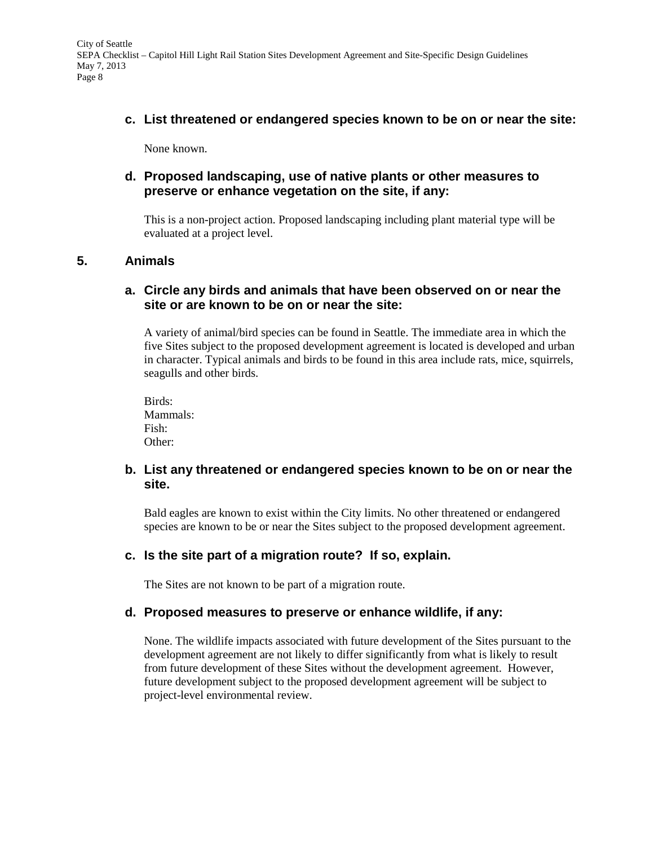**c. List threatened or endangered species known to be on or near the site:**

None known.

### **d. Proposed landscaping, use of native plants or other measures to preserve or enhance vegetation on the site, if any:**

This is a non-project action. Proposed landscaping including plant material type will be evaluated at a project level.

### **5. Animals**

### **a. Circle any birds and animals that have been observed on or near the site or are known to be on or near the site:**

A variety of animal/bird species can be found in Seattle. The immediate area in which the five Sites subject to the proposed development agreement is located is developed and urban in character. Typical animals and birds to be found in this area include rats, mice, squirrels, seagulls and other birds.

Birds: Mammals: Fish: Other:

### **b. List any threatened or endangered species known to be on or near the site.**

Bald eagles are known to exist within the City limits. No other threatened or endangered species are known to be or near the Sites subject to the proposed development agreement.

# **c. Is the site part of a migration route? If so, explain.**

The Sites are not known to be part of a migration route.

#### **d. Proposed measures to preserve or enhance wildlife, if any:**

None. The wildlife impacts associated with future development of the Sites pursuant to the development agreement are not likely to differ significantly from what is likely to result from future development of these Sites without the development agreement. However, future development subject to the proposed development agreement will be subject to project-level environmental review.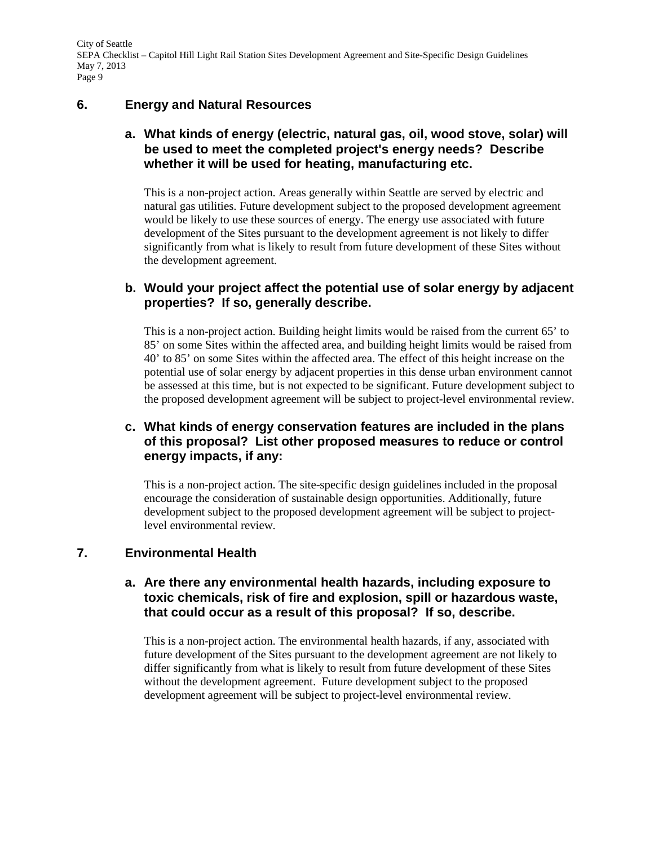# **6. Energy and Natural Resources**

# **a. What kinds of energy (electric, natural gas, oil, wood stove, solar) will be used to meet the completed project's energy needs? Describe whether it will be used for heating, manufacturing etc.**

This is a non-project action. Areas generally within Seattle are served by electric and natural gas utilities. Future development subject to the proposed development agreement would be likely to use these sources of energy. The energy use associated with future development of the Sites pursuant to the development agreement is not likely to differ significantly from what is likely to result from future development of these Sites without the development agreement.

### **b. Would your project affect the potential use of solar energy by adjacent properties? If so, generally describe.**

This is a non-project action. Building height limits would be raised from the current 65' to 85' on some Sites within the affected area, and building height limits would be raised from 40' to 85' on some Sites within the affected area. The effect of this height increase on the potential use of solar energy by adjacent properties in this dense urban environment cannot be assessed at this time, but is not expected to be significant. Future development subject to the proposed development agreement will be subject to project-level environmental review.

# **c. What kinds of energy conservation features are included in the plans of this proposal? List other proposed measures to reduce or control energy impacts, if any:**

This is a non-project action. The site-specific design guidelines included in the proposal encourage the consideration of sustainable design opportunities. Additionally, future development subject to the proposed development agreement will be subject to projectlevel environmental review.

# **7. Environmental Health**

### **a. Are there any environmental health hazards, including exposure to toxic chemicals, risk of fire and explosion, spill or hazardous waste, that could occur as a result of this proposal? If so, describe.**

This is a non-project action. The environmental health hazards, if any, associated with future development of the Sites pursuant to the development agreement are not likely to differ significantly from what is likely to result from future development of these Sites without the development agreement. Future development subject to the proposed development agreement will be subject to project-level environmental review.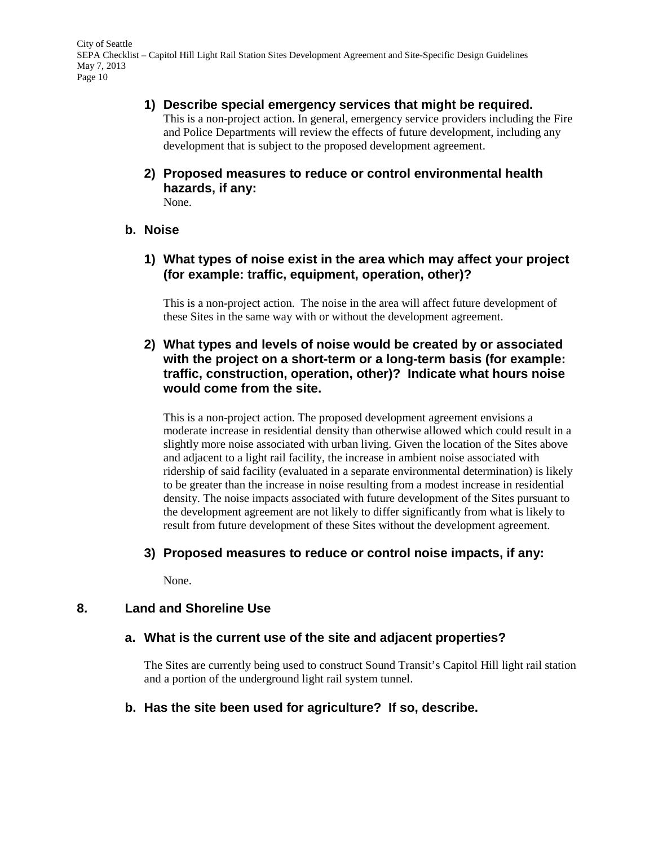#### **1) Describe special emergency services that might be required.**

This is a non-project action. In general, emergency service providers including the Fire and Police Departments will review the effects of future development, including any development that is subject to the proposed development agreement.

**2) Proposed measures to reduce or control environmental health hazards, if any:** None.

#### **b. Noise**

### **1) What types of noise exist in the area which may affect your project (for example: traffic, equipment, operation, other)?**

This is a non-project action. The noise in the area will affect future development of these Sites in the same way with or without the development agreement.

# **2) What types and levels of noise would be created by or associated with the project on a short-term or a long-term basis (for example: traffic, construction, operation, other)? Indicate what hours noise would come from the site.**

This is a non-project action. The proposed development agreement envisions a moderate increase in residential density than otherwise allowed which could result in a slightly more noise associated with urban living. Given the location of the Sites above and adjacent to a light rail facility, the increase in ambient noise associated with ridership of said facility (evaluated in a separate environmental determination) is likely to be greater than the increase in noise resulting from a modest increase in residential density. The noise impacts associated with future development of the Sites pursuant to the development agreement are not likely to differ significantly from what is likely to result from future development of these Sites without the development agreement.

#### **3) Proposed measures to reduce or control noise impacts, if any:**

None.

#### **8. Land and Shoreline Use**

#### **a. What is the current use of the site and adjacent properties?**

The Sites are currently being used to construct Sound Transit's Capitol Hill light rail station and a portion of the underground light rail system tunnel.

#### **b. Has the site been used for agriculture? If so, describe.**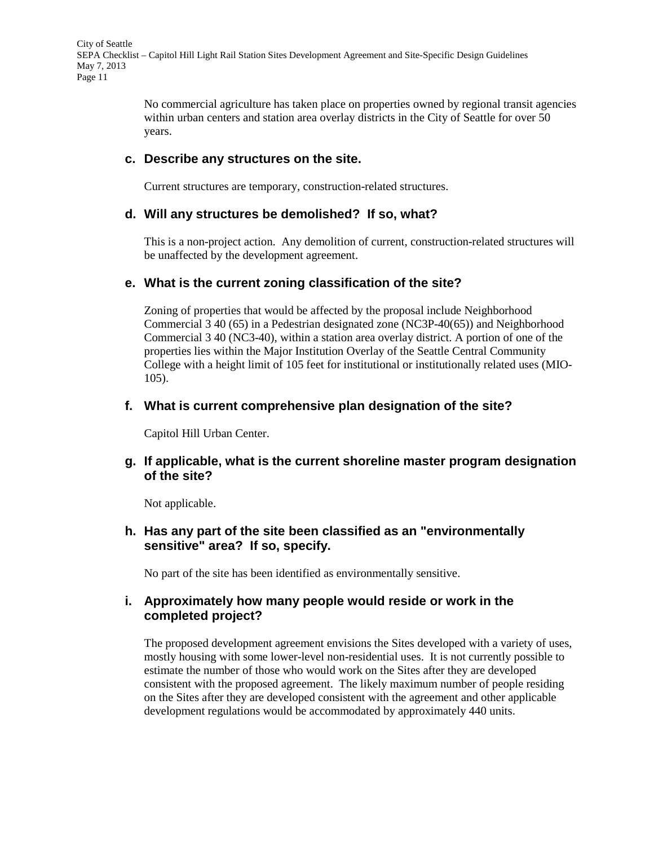> No commercial agriculture has taken place on properties owned by regional transit agencies within urban centers and station area overlay districts in the City of Seattle for over 50 years.

#### **c. Describe any structures on the site.**

Current structures are temporary, construction-related structures.

#### **d. Will any structures be demolished? If so, what?**

This is a non-project action. Any demolition of current, construction-related structures will be unaffected by the development agreement.

#### **e. What is the current zoning classification of the site?**

Zoning of properties that would be affected by the proposal include Neighborhood Commercial 3 40 (65) in a Pedestrian designated zone (NC3P-40(65)) and Neighborhood Commercial 3 40 (NC3-40), within a station area overlay district. A portion of one of the properties lies within the Major Institution Overlay of the Seattle Central Community College with a height limit of 105 feet for institutional or institutionally related uses (MIO-105).

#### **f. What is current comprehensive plan designation of the site?**

Capitol Hill Urban Center.

#### **g. If applicable, what is the current shoreline master program designation of the site?**

Not applicable.

### **h. Has any part of the site been classified as an "environmentally sensitive" area? If so, specify.**

No part of the site has been identified as environmentally sensitive.

#### **i. Approximately how many people would reside or work in the completed project?**

The proposed development agreement envisions the Sites developed with a variety of uses, mostly housing with some lower-level non-residential uses. It is not currently possible to estimate the number of those who would work on the Sites after they are developed consistent with the proposed agreement. The likely maximum number of people residing on the Sites after they are developed consistent with the agreement and other applicable development regulations would be accommodated by approximately 440 units.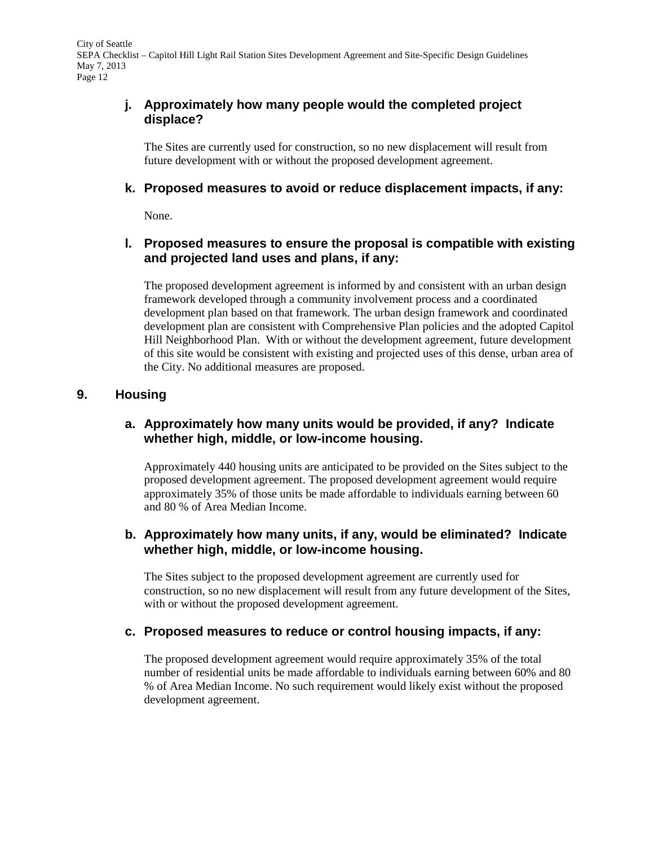# **j. Approximately how many people would the completed project displace?**

The Sites are currently used for construction, so no new displacement will result from future development with or without the proposed development agreement.

### **k. Proposed measures to avoid or reduce displacement impacts, if any:**

None.

### **l. Proposed measures to ensure the proposal is compatible with existing and projected land uses and plans, if any:**

The proposed development agreement is informed by and consistent with an urban design framework developed through a community involvement process and a coordinated development plan based on that framework. The urban design framework and coordinated development plan are consistent with Comprehensive Plan policies and the adopted Capitol Hill Neighborhood Plan. With or without the development agreement, future development of this site would be consistent with existing and projected uses of this dense, urban area of the City. No additional measures are proposed.

### **9. Housing**

### **a. Approximately how many units would be provided, if any? Indicate whether high, middle, or low-income housing.**

Approximately 440 housing units are anticipated to be provided on the Sites subject to the proposed development agreement. The proposed development agreement would require approximately 35% of those units be made affordable to individuals earning between 60 and 80 % of Area Median Income.

### **b. Approximately how many units, if any, would be eliminated? Indicate whether high, middle, or low-income housing.**

The Sites subject to the proposed development agreement are currently used for construction, so no new displacement will result from any future development of the Sites, with or without the proposed development agreement.

#### **c. Proposed measures to reduce or control housing impacts, if any:**

The proposed development agreement would require approximately 35% of the total number of residential units be made affordable to individuals earning between 60% and 80 % of Area Median Income. No such requirement would likely exist without the proposed development agreement.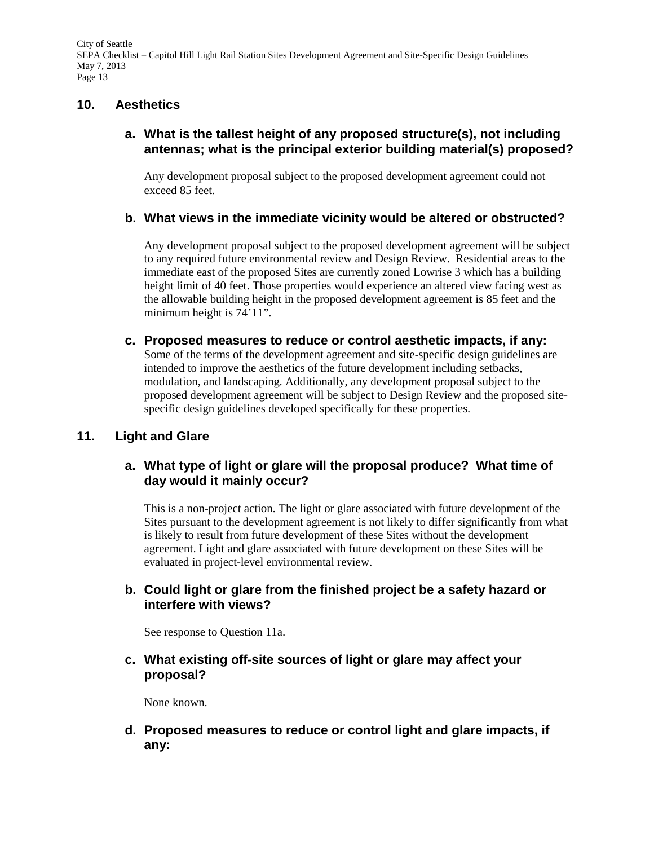### **10. Aesthetics**

# **a. What is the tallest height of any proposed structure(s), not including antennas; what is the principal exterior building material(s) proposed?**

Any development proposal subject to the proposed development agreement could not exceed 85 feet.

### **b. What views in the immediate vicinity would be altered or obstructed?**

Any development proposal subject to the proposed development agreement will be subject to any required future environmental review and Design Review. Residential areas to the immediate east of the proposed Sites are currently zoned Lowrise 3 which has a building height limit of 40 feet. Those properties would experience an altered view facing west as the allowable building height in the proposed development agreement is 85 feet and the minimum height is 74'11".

**c. Proposed measures to reduce or control aesthetic impacts, if any:** Some of the terms of the development agreement and site-specific design guidelines are intended to improve the aesthetics of the future development including setbacks, modulation, and landscaping. Additionally, any development proposal subject to the proposed development agreement will be subject to Design Review and the proposed sitespecific design guidelines developed specifically for these properties.

# **11. Light and Glare**

# **a. What type of light or glare will the proposal produce? What time of day would it mainly occur?**

This is a non-project action. The light or glare associated with future development of the Sites pursuant to the development agreement is not likely to differ significantly from what is likely to result from future development of these Sites without the development agreement. Light and glare associated with future development on these Sites will be evaluated in project-level environmental review.

### **b. Could light or glare from the finished project be a safety hazard or interfere with views?**

See response to Question 11a.

# **c. What existing off-site sources of light or glare may affect your proposal?**

None known.

**d. Proposed measures to reduce or control light and glare impacts, if any:**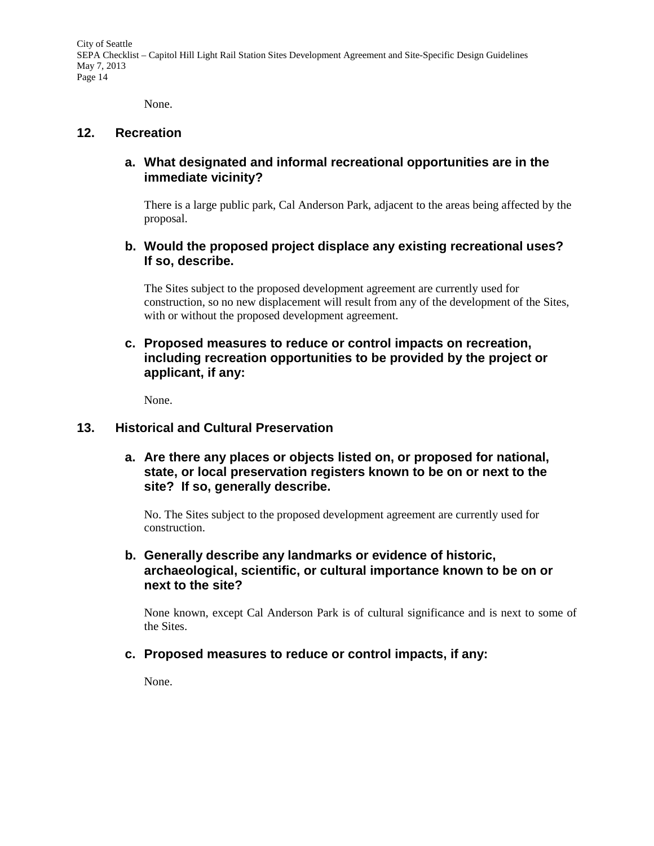None.

#### **12. Recreation**

### **a. What designated and informal recreational opportunities are in the immediate vicinity?**

There is a large public park, Cal Anderson Park, adjacent to the areas being affected by the proposal.

### **b. Would the proposed project displace any existing recreational uses? If so, describe.**

The Sites subject to the proposed development agreement are currently used for construction, so no new displacement will result from any of the development of the Sites, with or without the proposed development agreement.

# **c. Proposed measures to reduce or control impacts on recreation, including recreation opportunities to be provided by the project or applicant, if any:**

None.

#### **13. Historical and Cultural Preservation**

**a. Are there any places or objects listed on, or proposed for national, state, or local preservation registers known to be on or next to the site? If so, generally describe.**

No. The Sites subject to the proposed development agreement are currently used for construction.

### **b. Generally describe any landmarks or evidence of historic, archaeological, scientific, or cultural importance known to be on or next to the site?**

None known, except Cal Anderson Park is of cultural significance and is next to some of the Sites.

#### **c. Proposed measures to reduce or control impacts, if any:**

None.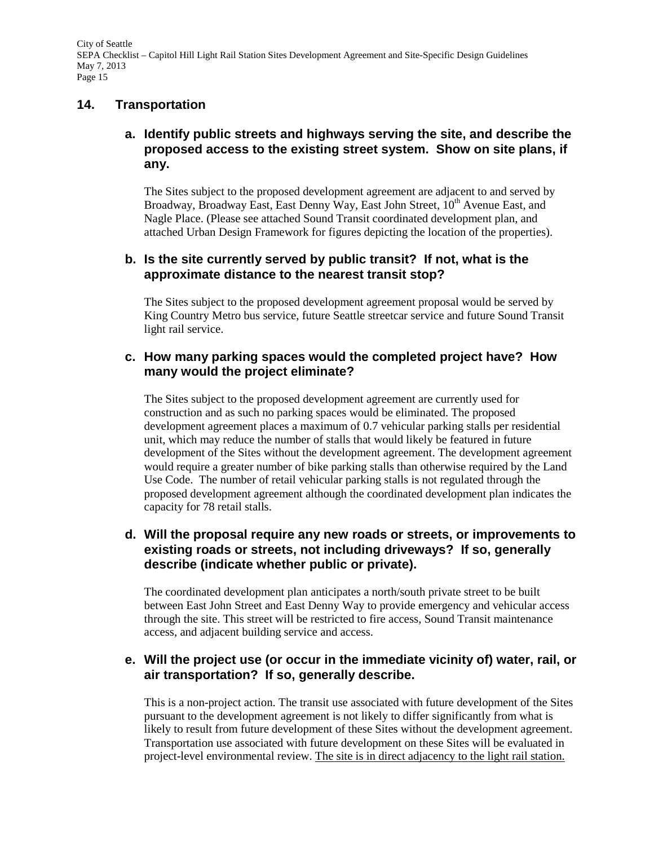### **14. Transportation**

# **a. Identify public streets and highways serving the site, and describe the proposed access to the existing street system. Show on site plans, if any.**

The Sites subject to the proposed development agreement are adjacent to and served by Broadway, Broadway East, East Denny Way, East John Street, 10<sup>th</sup> Avenue East, and Nagle Place. (Please see attached Sound Transit coordinated development plan, and attached Urban Design Framework for figures depicting the location of the properties).

### **b. Is the site currently served by public transit? If not, what is the approximate distance to the nearest transit stop?**

The Sites subject to the proposed development agreement proposal would be served by King Country Metro bus service, future Seattle streetcar service and future Sound Transit light rail service.

### **c. How many parking spaces would the completed project have? How many would the project eliminate?**

The Sites subject to the proposed development agreement are currently used for construction and as such no parking spaces would be eliminated. The proposed development agreement places a maximum of 0.7 vehicular parking stalls per residential unit, which may reduce the number of stalls that would likely be featured in future development of the Sites without the development agreement. The development agreement would require a greater number of bike parking stalls than otherwise required by the Land Use Code. The number of retail vehicular parking stalls is not regulated through the proposed development agreement although the coordinated development plan indicates the capacity for 78 retail stalls.

### **d. Will the proposal require any new roads or streets, or improvements to existing roads or streets, not including driveways? If so, generally describe (indicate whether public or private).**

The coordinated development plan anticipates a north/south private street to be built between East John Street and East Denny Way to provide emergency and vehicular access through the site. This street will be restricted to fire access, Sound Transit maintenance access, and adjacent building service and access.

# **e. Will the project use (or occur in the immediate vicinity of) water, rail, or air transportation? If so, generally describe.**

This is a non-project action. The transit use associated with future development of the Sites pursuant to the development agreement is not likely to differ significantly from what is likely to result from future development of these Sites without the development agreement. Transportation use associated with future development on these Sites will be evaluated in project-level environmental review. The site is in direct adjacency to the light rail station.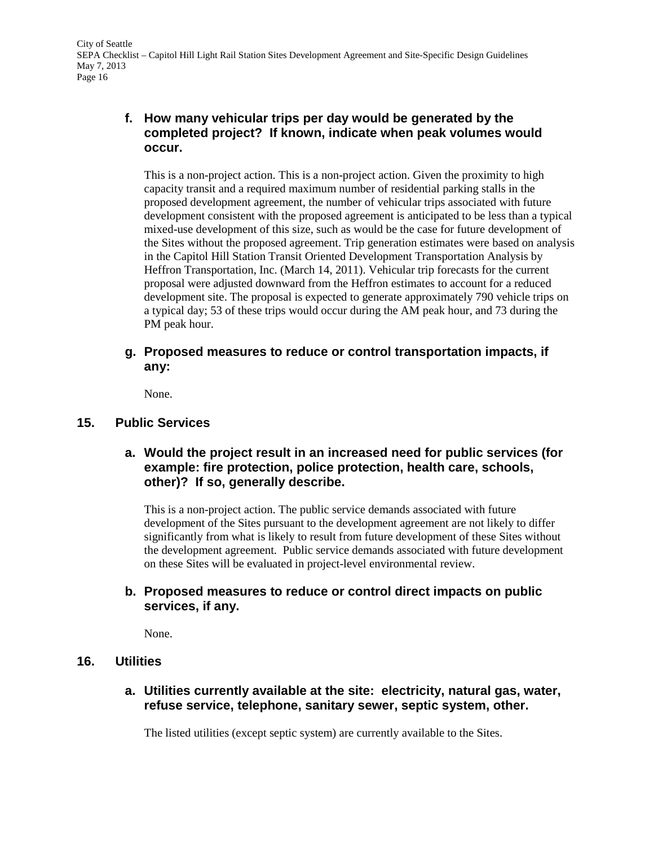# **f. How many vehicular trips per day would be generated by the completed project? If known, indicate when peak volumes would occur.**

This is a non-project action. This is a non-project action. Given the proximity to high capacity transit and a required maximum number of residential parking stalls in the proposed development agreement, the number of vehicular trips associated with future development consistent with the proposed agreement is anticipated to be less than a typical mixed-use development of this size, such as would be the case for future development of the Sites without the proposed agreement. Trip generation estimates were based on analysis in the Capitol Hill Station Transit Oriented Development Transportation Analysis by Heffron Transportation, Inc. (March 14, 2011). Vehicular trip forecasts for the current proposal were adjusted downward from the Heffron estimates to account for a reduced development site. The proposal is expected to generate approximately 790 vehicle trips on a typical day; 53 of these trips would occur during the AM peak hour, and 73 during the PM peak hour.

# **g. Proposed measures to reduce or control transportation impacts, if any:**

None.

### **15. Public Services**

# **a. Would the project result in an increased need for public services (for example: fire protection, police protection, health care, schools, other)? If so, generally describe.**

This is a non-project action. The public service demands associated with future development of the Sites pursuant to the development agreement are not likely to differ significantly from what is likely to result from future development of these Sites without the development agreement. Public service demands associated with future development on these Sites will be evaluated in project-level environmental review.

### **b. Proposed measures to reduce or control direct impacts on public services, if any.**

None.

#### **16. Utilities**

**a. Utilities currently available at the site: electricity, natural gas, water, refuse service, telephone, sanitary sewer, septic system, other.**

The listed utilities (except septic system) are currently available to the Sites.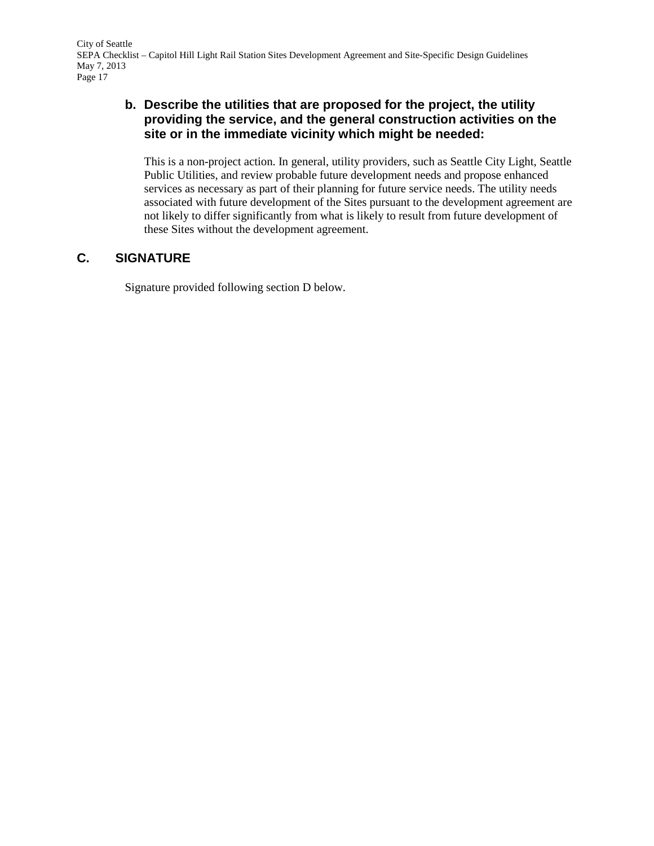# **b. Describe the utilities that are proposed for the project, the utility providing the service, and the general construction activities on the site or in the immediate vicinity which might be needed:**

This is a non-project action. In general, utility providers, such as Seattle City Light, Seattle Public Utilities, and review probable future development needs and propose enhanced services as necessary as part of their planning for future service needs. The utility needs associated with future development of the Sites pursuant to the development agreement are not likely to differ significantly from what is likely to result from future development of these Sites without the development agreement.

# **C. SIGNATURE**

Signature provided following section D below.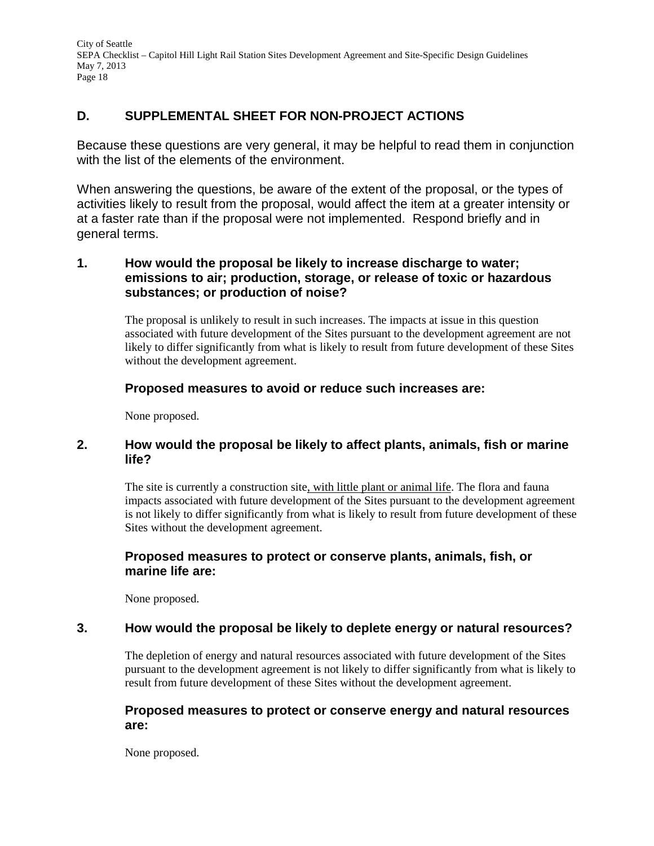# **D. SUPPLEMENTAL SHEET FOR NON-PROJECT ACTIONS**

Because these questions are very general, it may be helpful to read them in conjunction with the list of the elements of the environment.

When answering the questions, be aware of the extent of the proposal, or the types of activities likely to result from the proposal, would affect the item at a greater intensity or at a faster rate than if the proposal were not implemented. Respond briefly and in general terms.

# **1. How would the proposal be likely to increase discharge to water; emissions to air; production, storage, or release of toxic or hazardous substances; or production of noise?**

The proposal is unlikely to result in such increases. The impacts at issue in this question associated with future development of the Sites pursuant to the development agreement are not likely to differ significantly from what is likely to result from future development of these Sites without the development agreement.

### **Proposed measures to avoid or reduce such increases are:**

None proposed.

### **2. How would the proposal be likely to affect plants, animals, fish or marine life?**

The site is currently a construction site, with little plant or animal life. The flora and fauna impacts associated with future development of the Sites pursuant to the development agreement is not likely to differ significantly from what is likely to result from future development of these Sites without the development agreement.

# **Proposed measures to protect or conserve plants, animals, fish, or marine life are:**

None proposed.

# **3. How would the proposal be likely to deplete energy or natural resources?**

The depletion of energy and natural resources associated with future development of the Sites pursuant to the development agreement is not likely to differ significantly from what is likely to result from future development of these Sites without the development agreement.

#### **Proposed measures to protect or conserve energy and natural resources are:**

None proposed.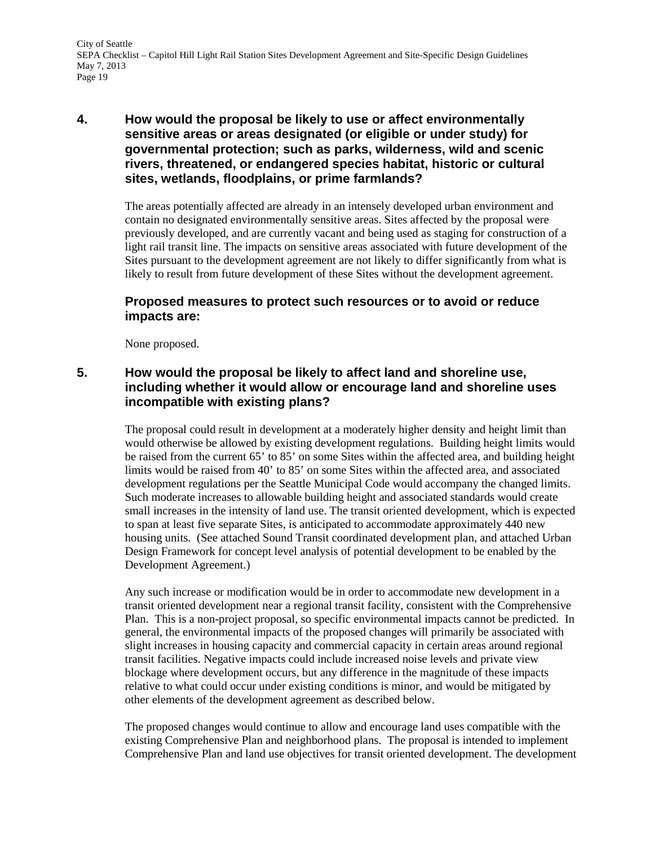### **4. How would the proposal be likely to use or affect environmentally sensitive areas or areas designated (or eligible or under study) for governmental protection; such as parks, wilderness, wild and scenic rivers, threatened, or endangered species habitat, historic or cultural sites, wetlands, floodplains, or prime farmlands?**

The areas potentially affected are already in an intensely developed urban environment and contain no designated environmentally sensitive areas. Sites affected by the proposal were previously developed, and are currently vacant and being used as staging for construction of a light rail transit line. The impacts on sensitive areas associated with future development of the Sites pursuant to the development agreement are not likely to differ significantly from what is likely to result from future development of these Sites without the development agreement.

### **Proposed measures to protect such resources or to avoid or reduce impacts are:**

None proposed.

# **5. How would the proposal be likely to affect land and shoreline use, including whether it would allow or encourage land and shoreline uses incompatible with existing plans?**

The proposal could result in development at a moderately higher density and height limit than would otherwise be allowed by existing development regulations. Building height limits would be raised from the current 65' to 85' on some Sites within the affected area, and building height limits would be raised from 40' to 85' on some Sites within the affected area, and associated development regulations per the Seattle Municipal Code would accompany the changed limits. Such moderate increases to allowable building height and associated standards would create small increases in the intensity of land use. The transit oriented development, which is expected to span at least five separate Sites, is anticipated to accommodate approximately 440 new housing units. (See attached Sound Transit coordinated development plan, and attached Urban Design Framework for concept level analysis of potential development to be enabled by the Development Agreement.)

Any such increase or modification would be in order to accommodate new development in a transit oriented development near a regional transit facility, consistent with the Comprehensive Plan. This is a non-project proposal, so specific environmental impacts cannot be predicted. In general, the environmental impacts of the proposed changes will primarily be associated with slight increases in housing capacity and commercial capacity in certain areas around regional transit facilities. Negative impacts could include increased noise levels and private view blockage where development occurs, but any difference in the magnitude of these impacts relative to what could occur under existing conditions is minor, and would be mitigated by other elements of the development agreement as described below.

The proposed changes would continue to allow and encourage land uses compatible with the existing Comprehensive Plan and neighborhood plans. The proposal is intended to implement Comprehensive Plan and land use objectives for transit oriented development. The development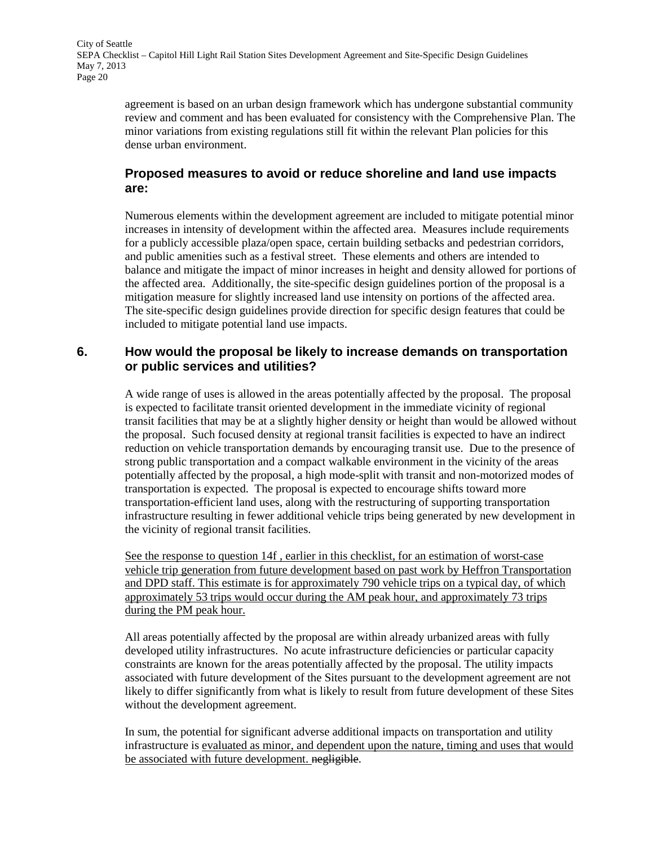agreement is based on an urban design framework which has undergone substantial community review and comment and has been evaluated for consistency with the Comprehensive Plan. The minor variations from existing regulations still fit within the relevant Plan policies for this dense urban environment.

# **Proposed measures to avoid or reduce shoreline and land use impacts are:**

Numerous elements within the development agreement are included to mitigate potential minor increases in intensity of development within the affected area. Measures include requirements for a publicly accessible plaza/open space, certain building setbacks and pedestrian corridors, and public amenities such as a festival street. These elements and others are intended to balance and mitigate the impact of minor increases in height and density allowed for portions of the affected area. Additionally, the site-specific design guidelines portion of the proposal is a mitigation measure for slightly increased land use intensity on portions of the affected area. The site-specific design guidelines provide direction for specific design features that could be included to mitigate potential land use impacts.

# **6. How would the proposal be likely to increase demands on transportation or public services and utilities?**

A wide range of uses is allowed in the areas potentially affected by the proposal. The proposal is expected to facilitate transit oriented development in the immediate vicinity of regional transit facilities that may be at a slightly higher density or height than would be allowed without the proposal. Such focused density at regional transit facilities is expected to have an indirect reduction on vehicle transportation demands by encouraging transit use. Due to the presence of strong public transportation and a compact walkable environment in the vicinity of the areas potentially affected by the proposal, a high mode-split with transit and non-motorized modes of transportation is expected. The proposal is expected to encourage shifts toward more transportation-efficient land uses, along with the restructuring of supporting transportation infrastructure resulting in fewer additional vehicle trips being generated by new development in the vicinity of regional transit facilities.

See the response to question 14f , earlier in this checklist, for an estimation of worst-case vehicle trip generation from future development based on past work by Heffron Transportation and DPD staff. This estimate is for approximately 790 vehicle trips on a typical day, of which approximately 53 trips would occur during the AM peak hour, and approximately 73 trips during the PM peak hour.

All areas potentially affected by the proposal are within already urbanized areas with fully developed utility infrastructures. No acute infrastructure deficiencies or particular capacity constraints are known for the areas potentially affected by the proposal. The utility impacts associated with future development of the Sites pursuant to the development agreement are not likely to differ significantly from what is likely to result from future development of these Sites without the development agreement.

In sum, the potential for significant adverse additional impacts on transportation and utility infrastructure is evaluated as minor, and dependent upon the nature, timing and uses that would be associated with future development. negligible.